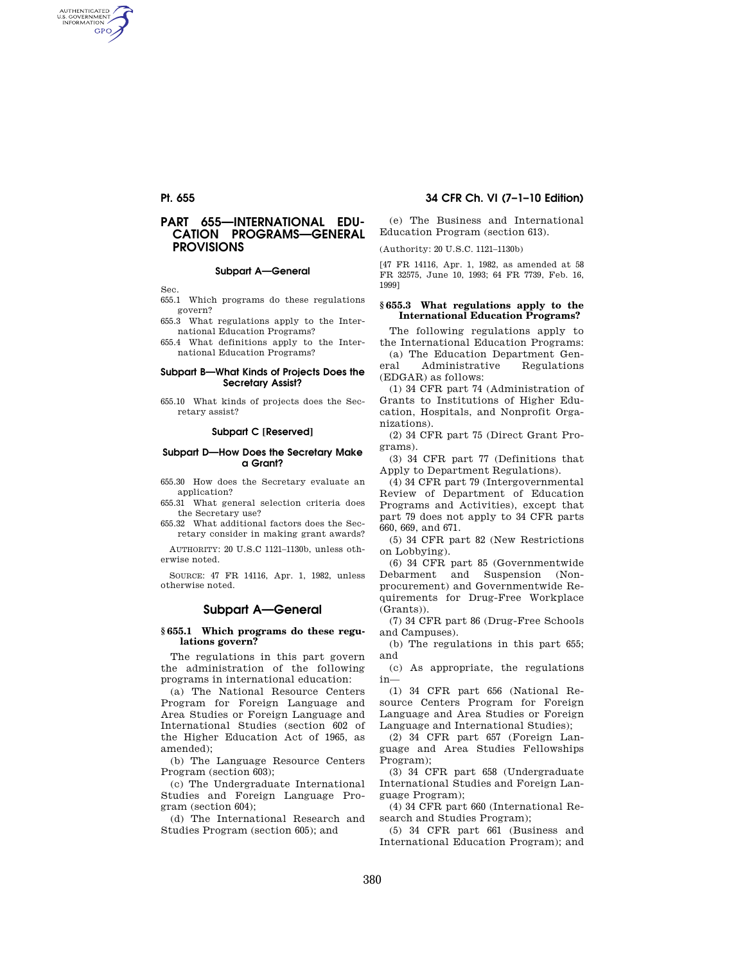AUTHENTICATED<br>U.S. GOVERNMENT<br>INFORMATION **GPO** 

# **PART 655—INTERNATIONAL EDU-CATION PROGRAMS—GENERAL PROVISIONS**

#### **Subpart A—General**

Sec.

- 655.1 Which programs do these regulations govern?
- 655.3 What regulations apply to the International Education Programs?

655.4 What definitions apply to the International Education Programs?

#### **Subpart B—What Kinds of Projects Does the Secretary Assist?**

655.10 What kinds of projects does the Secretary assist?

#### **Subpart C [Reserved]**

#### **Subpart D—How Does the Secretary Make a Grant?**

655.30 How does the Secretary evaluate an application?

655.31 What general selection criteria does the Secretary use?

655.32 What additional factors does the Secretary consider in making grant awards?

AUTHORITY: 20 U.S.C 1121–1130b, unless otherwise noted.

SOURCE: 47 FR 14116, Apr. 1, 1982, unless otherwise noted.

## **Subpart A—General**

## **§ 655.1 Which programs do these regulations govern?**

The regulations in this part govern the administration of the following programs in international education:

(a) The National Resource Centers Program for Foreign Language and Area Studies or Foreign Language and International Studies (section 602 of the Higher Education Act of 1965, as amended);

(b) The Language Resource Centers Program (section 603);

(c) The Undergraduate International Studies and Foreign Language Program (section 604);

(d) The International Research and Studies Program (section 605); and

# **Pt. 655 34 CFR Ch. VI (7–1–10 Edition)**

(e) The Business and International Education Program (section 613).

(Authority: 20 U.S.C. 1121–1130b)

[47 FR 14116, Apr. 1, 1982, as amended at 58 FR 32575, June 10, 1993; 64 FR 7739, Feb. 16, 1999]

## **§ 655.3 What regulations apply to the International Education Programs?**

The following regulations apply to the International Education Programs:

(a) The Education Department General Administrative Regulations (EDGAR) as follows:

(1) 34 CFR part 74 (Administration of Grants to Institutions of Higher Education, Hospitals, and Nonprofit Organizations).

(2) 34 CFR part 75 (Direct Grant Programs).

(3) 34 CFR part 77 (Definitions that Apply to Department Regulations).

(4) 34 CFR part 79 (Intergovernmental Review of Department of Education Programs and Activities), except that part 79 does not apply to 34 CFR parts 660, 669, and 671.

(5) 34 CFR part 82 (New Restrictions on Lobbying).

(6) 34 CFR part 85 (Governmentwide Debarment and Suspension (Nonprocurement) and Governmentwide Requirements for Drug-Free Workplace (Grants)).

(7) 34 CFR part 86 (Drug-Free Schools and Campuses).

(b) The regulations in this part 655; and

(c) As appropriate, the regulations in—

(1) 34 CFR part 656 (National Resource Centers Program for Foreign Language and Area Studies or Foreign Language and International Studies);

(2) 34 CFR part 657 (Foreign Language and Area Studies Fellowships Program);

(3) 34 CFR part 658 (Undergraduate International Studies and Foreign Language Program);

(4) 34 CFR part 660 (International Research and Studies Program);

(5) 34 CFR part 661 (Business and International Education Program); and